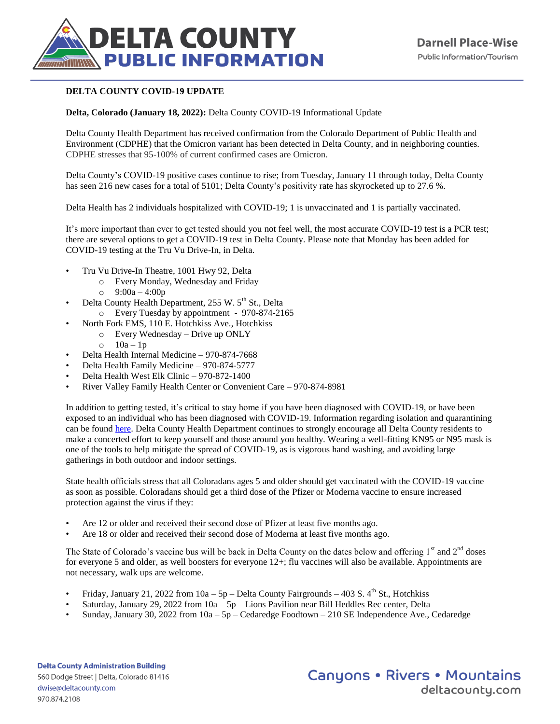

## **DELTA COUNTY COVID-19 UPDATE**

## **Delta, Colorado (January 18, 2022):** Delta County COVID-19 Informational Update

Delta County Health Department has received confirmation from the Colorado Department of Public Health and Environment (CDPHE) that the Omicron variant has been detected in Delta County, and in neighboring counties. CDPHE stresses that 95-100% of current confirmed cases are Omicron.

Delta County's COVID-19 positive cases continue to rise; from Tuesday, January 11 through today, Delta County has seen 216 new cases for a total of 5101; Delta County's positivity rate has skyrocketed up to 27.6 %.

Delta Health has 2 individuals hospitalized with COVID-19; 1 is unvaccinated and 1 is partially vaccinated.

It's more important than ever to get tested should you not feel well, the most accurate COVID-19 test is a PCR test; there are several options to get a COVID-19 test in Delta County. Please note that Monday has been added for COVID-19 testing at the Tru Vu Drive-In, in Delta.

- Tru Vu Drive-In Theatre, 1001 Hwy 92, Delta
	- o Every Monday, Wednesday and Friday
		- o 9:00a 4:00p
- Delta County Health Department, 255 W. 5<sup>th</sup> St., Delta
- o Every Tuesday by appointment 970-874-2165
- North Fork EMS, 110 E. Hotchkiss Ave., Hotchkiss
	- o Every Wednesday Drive up ONLY
		- $\circ$  10a 1p
- Delta Health Internal Medicine 970-874-7668
- Delta Health Family Medicine 970-874-5777
- Delta Health West Elk Clinic 970-872-1400
- River Valley Family Health Center or Convenient Care 970-874-8981

In addition to getting tested, it's critical to stay home if you have been diagnosed with COVID-19, or have been exposed to an individual who has been diagnosed with COVID-19. Information regarding isolation and quarantining can be found [here.](https://covid19.colorado.gov/isolation-and-quarantine) Delta County Health Department continues to strongly encourage all Delta County residents to make a concerted effort to keep yourself and those around you healthy. Wearing a well-fitting KN95 or N95 mask is one of the tools to help mitigate the spread of COVID-19, as is vigorous hand washing, and avoiding large gatherings in both outdoor and indoor settings.

State health officials stress that all Coloradans ages 5 and older should get vaccinated with the COVID-19 vaccine as soon as possible. Coloradans should get a third dose of the Pfizer or Moderna vaccine to ensure increased protection against the virus if they:

- Are 12 or older and received their second dose of Pfizer at least five months ago.
- Are 18 or older and received their second dose of Moderna at least five months ago.

The State of Colorado's vaccine bus will be back in Delta County on the dates below and offering  $1<sup>st</sup>$  and  $2<sup>nd</sup>$  doses for everyone 5 and older, as well boosters for everyone 12+; flu vaccines will also be available. Appointments are not necessary, walk ups are welcome.

- Friday, January 21, 2022 from  $10a 5p$  Delta County Fairgrounds 403 S. 4<sup>th</sup> St., Hotchkiss
- Saturday, January 29, 2022 from 10a 5p Lions Pavilion near Bill Heddles Rec center, Delta
- Sunday, January 30, 2022 from  $10a 5p -$ Cedaredge Foodtown 210 SE Independence Ave., Cedaredge

**Canyons • Rivers • Mountains** deltacountu.com